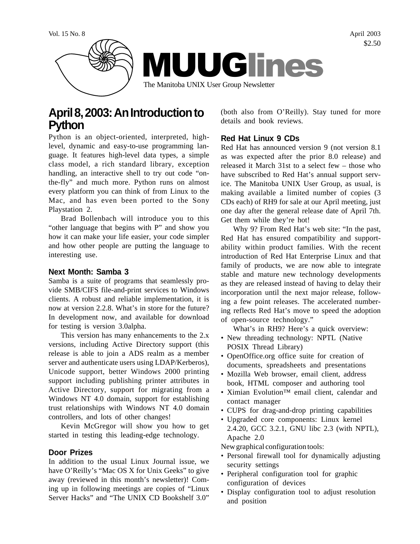

# **April 8, 2003: An Introduction to Python**

Python is an object-oriented, interpreted, highlevel, dynamic and easy-to-use programming language. It features high-level data types, a simple class model, a rich standard library, exception handling, an interactive shell to try out code "onthe-fly" and much more. Python runs on almost every platform you can think of from Linux to the Mac, and has even been ported to the Sony Playstation 2.

Brad Bollenbach will introduce you to this "other language that begins with P" and show you how it can make your life easier, your code simpler and how other people are putting the language to interesting use.

## **Next Month: Samba 3**

Samba is a suite of programs that seamlessly provide SMB/CIFS file-and-print services to Windows clients. A robust and reliable implementation, it is now at version 2.2.8. What's in store for the future? In development now, and available for download for testing is version 3.0alpha.

This version has many enhancements to the 2.x versions, including Active Directory support (this release is able to join a ADS realm as a member server and authenticate users using LDAP/Kerberos), Unicode support, better Windows 2000 printing support including publishing printer attributes in Active Directory, support for migrating from a Windows NT 4.0 domain, support for establishing trust relationships with Windows NT 4.0 domain controllers, and lots of other changes!

Kevin McGregor will show you how to get started in testing this leading-edge technology.

#### **Door Prizes**

In addition to the usual Linux Journal issue, we have O'Reilly's "Mac OS X for Unix Geeks" to give away (reviewed in this month's newsletter)! Coming up in following meetings are copies of "Linux Server Hacks" and "The UNIX CD Bookshelf 3.0" (both also from O'Reilly). Stay tuned for more details and book reviews.

# **Red Hat Linux 9 CDs**

Red Hat has announced version 9 (not version 8.1 as was expected after the prior 8.0 release) and released it March 31st to a select few – those who have subscribed to Red Hat's annual support service. The Manitoba UNIX User Group, as usual, is making available a limited number of copies (3 CDs each) of RH9 for sale at our April meeting, just one day after the general release date of April 7th. Get them while they're hot!

Why 9? From Red Hat's web site: "In the past, Red Hat has ensured compatibility and supportability within product families. With the recent introduction of Red Hat Enterprise Linux and that family of products, we are now able to integrate stable and mature new technology developments as they are released instead of having to delay their incorporation until the next major release, following a few point releases. The accelerated numbering reflects Red Hat's move to speed the adoption of open-source technology."

What's in RH9? Here's a quick overview:

- New threading technology: NPTL (Native POSIX Thread Library)
- OpenOffice.org office suite for creation of documents, spreadsheets and presentations
- Mozilla Web browser, email client, address book, HTML composer and authoring tool
- Ximian Evolution™ email client, calendar and contact manager
- CUPS for drag-and-drop printing capabilities
- Upgraded core components: Linux kernel
- 2.4.20, GCC 3.2.1, GNU libc 2.3 (with NPTL), Apache 2.0

New graphical configuration tools:

- Personal firewall tool for dynamically adjusting security settings
- Peripheral configuration tool for graphic configuration of devices
- Display configuration tool to adjust resolution and position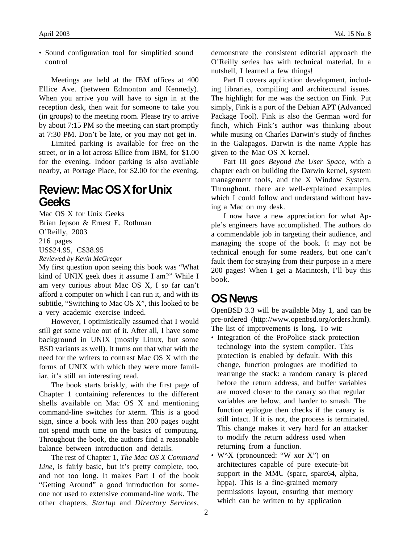• Sound configuration tool for simplified sound control

Meetings are held at the IBM offices at 400 Ellice Ave. (between Edmonton and Kennedy). When you arrive you will have to sign in at the reception desk, then wait for someone to take you (in groups) to the meeting room. Please try to arrive by about 7:15 PM so the meeting can start promptly at 7:30 PM. Don't be late, or you may not get in.

Limited parking is available for free on the street, or in a lot across Ellice from IBM, for \$1.00 for the evening. Indoor parking is also available nearby, at Portage Place, for \$2.00 for the evening.

# **Review: Mac OS X for Unix Geeks**

Mac OS X for Unix Geeks Brian Jepson & Ernest E. Rothman O'Reilly, 2003 216 pages US\$24.95, C\$38.95 *Reviewed by Kevin McGregor*

My first question upon seeing this book was "What kind of UNIX geek does it assume I am?" While I am very curious about Mac OS X, I so far can't afford a computer on which I can run it, and with its subtitle, "Switching to Mac OS X", this looked to be a very academic exercise indeed.

However, I optimistically assumed that I would still get some value out of it. After all, I have some background in UNIX (mostly Linux, but some BSD variants as well). It turns out that what with the need for the writers to contrast Mac OS X with the forms of UNIX with which they were more familiar, it's still an interesting read.

The book starts briskly, with the first page of Chapter 1 containing references to the different shells available on Mac OS X and mentioning command-line switches for xterm. This is a good sign, since a book with less than 200 pages ought not spend much time on the basics of computing. Throughout the book, the authors find a reasonable balance between introduction and details.

The rest of Chapter 1, *The Mac OS X Command Line*, is fairly basic, but it's pretty complete, too, and not too long. It makes Part I of the book "Getting Around" a good introduction for someone not used to extensive command-line work. The other chapters, *Startup* and *Directory Services*,

demonstrate the consistent editorial approach the O'Reilly series has with technical material. In a nutshell, I learned a few things!

Part II covers application development, including libraries, compiling and architectural issues. The highlight for me was the section on Fink. Put simply, Fink is a port of the Debian APT (Advanced Package Tool). Fink is also the German word for finch, which Fink's author was thinking about while musing on Charles Darwin's study of finches in the Galapagos. Darwin is the name Apple has given to the Mac OS X kernel.

Part III goes *Beyond the User Space*, with a chapter each on building the Darwin kernel, system management tools, and the X Window System. Throughout, there are well-explained examples which I could follow and understand without having a Mac on my desk.

I now have a new appreciation for what Apple's engineers have accomplished. The authors do a commendable job in targeting their audience, and managing the scope of the book. It may not be technical enough for some readers, but one can't fault them for straying from their purpose in a mere 200 pages! When I get a Macintosh, I'll buy this book.

# **OS News**

OpenBSD 3.3 will be available May 1, and can be pre-ordered (http://www.openbsd.org/orders.html). The list of improvements is long. To wit:

- Integration of the ProPolice stack protection technology into the system compiler. This protection is enabled by default. With this change, function prologues are modified to rearrange the stack: a random canary is placed before the return address, and buffer variables are moved closer to the canary so that regular variables are below, and harder to smash. The function epilogue then checks if the canary is still intact. If it is not, the process is terminated. This change makes it very hard for an attacker to modify the return address used when returning from a function.
- W<sup> $\lambda$ </sup>X (pronounced: "W xor X") on architectures capable of pure execute-bit support in the MMU (sparc, sparc64, alpha, hppa). This is a fine-grained memory permissions layout, ensuring that memory which can be written to by application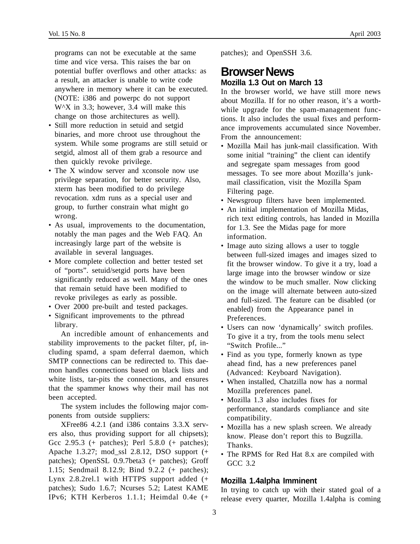programs can not be executable at the same time and vice versa. This raises the bar on potential buffer overflows and other attacks: as a result, an attacker is unable to write code anywhere in memory where it can be executed. (NOTE: i386 and powerpc do not support W<sup> $\Delta$ </sup>X in 3.3; however, 3.4 will make this change on those architectures as well).

- Still more reduction in setuid and setgid binaries, and more chroot use throughout the system. While some programs are still setuid or setgid, almost all of them grab a resource and then quickly revoke privilege.
- The X window server and xconsole now use privilege separation, for better security. Also, xterm has been modified to do privilege revocation. xdm runs as a special user and group, to further constrain what might go wrong.
- As usual, improvements to the documentation, notably the man pages and the Web FAQ. An increasingly large part of the website is available in several languages.
- More complete collection and better tested set of "ports". setuid/setgid ports have been significantly reduced as well. Many of the ones that remain setuid have been modified to revoke privileges as early as possible.
- Over 2000 pre-built and tested packages.
- Significant improvements to the pthread library.

An incredible amount of enhancements and stability improvements to the packet filter, pf, including spamd, a spam deferral daemon, which SMTP connections can be redirected to. This daemon handles connections based on black lists and white lists, tar-pits the connections, and ensures that the spammer knows why their mail has not been accepted.

The system includes the following major components from outside suppliers:

XFree86 4.2.1 (and i386 contains 3.3.X servers also, thus providing support for all chipsets); Gcc 2.95.3 (+ patches); Perl 5.8.0 (+ patches); Apache 1.3.27; mod\_ssl 2.8.12, DSO support (+ patches); OpenSSL 0.9.7beta3 (+ patches); Groff 1.15; Sendmail 8.12.9; Bind 9.2.2 (+ patches); Lynx 2.8.2rel.1 with HTTPS support added (+ patches); Sudo 1.6.7; Ncurses 5.2; Latest KAME IPv6; KTH Kerberos 1.1.1; Heimdal 0.4e (+

patches); and OpenSSH 3.6.

# **Browser News Mozilla 1.3 Out on March 13**

In the browser world, we have still more news about Mozilla. If for no other reason, it's a worthwhile upgrade for the spam-management functions. It also includes the usual fixes and performance improvements accumulated since November. From the announcement:

- Mozilla Mail has junk-mail classification. With some initial "training" the client can identify and segregate spam messages from good messages. To see more about Mozilla's junkmail classification, visit the Mozilla Spam Filtering page.
- Newsgroup filters have been implemented.
- An initial implementation of Mozilla Midas, rich text editing controls, has landed in Mozilla for 1.3. See the Midas page for more information.
- Image auto sizing allows a user to toggle between full-sized images and images sized to fit the browser window. To give it a try, load a large image into the browser window or size the window to be much smaller. Now clicking on the image will alternate between auto-sized and full-sized. The feature can be disabled (or enabled) from the Appearance panel in Preferences.
- Users can now 'dynamically' switch profiles. To give it a try, from the tools menu select "Switch Profile..."
- Find as you type, formerly known as type ahead find, has a new preferences panel (Advanced: Keyboard Navigation).
- When installed, Chatzilla now has a normal Mozilla preferences panel.
- Mozilla 1.3 also includes fixes for performance, standards compliance and site compatibility.
- Mozilla has a new splash screen. We already know. Please don't report this to Bugzilla. Thanks.
- The RPMS for Red Hat 8.x are compiled with GCC 3.2

# **Mozilla 1.4alpha Imminent**

In trying to catch up with their stated goal of a release every quarter, Mozilla 1.4alpha is coming